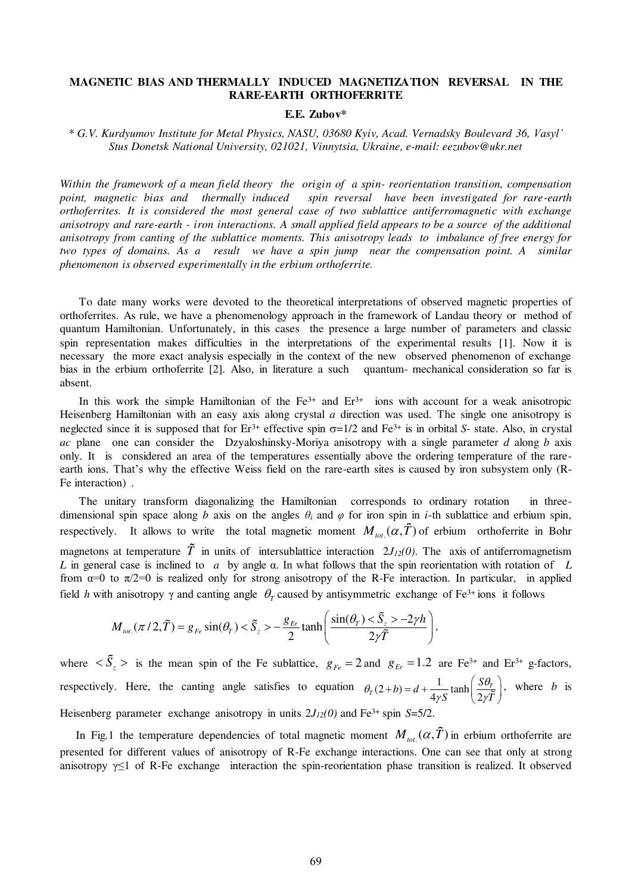## **MAGNETIC BIAS AND THERMALLY INDUCED MAGNETIZATION REVERSAL IN THE RARE-EARTH ORTHOFERRITE**

## **E.E. Zubov\***

*\* G.V. Kurdyumov Institute for Metal Physics, NASU, 03680 Kyiv, Acad. Vernadsky Boulevard 36, Vasyl' Stus Donetsk National University, 021021, Vinnytsia, Ukraine, e-mail: eezubov@ukr.net* 

*Within the framework of a mean field theory the origin of a spin- reorientation transition, compensation point, magnetic bias and thermally induced spin reversal have been investigated for rare-earth orthoferrites. It is considered the most general case of two sublattice antiferromagnetic with exchange anisotropy and rare-earth - iron interactions. A small applied field appears to be a source of the additional anisotropy from canting of the sublattice moments. This anisotropy leads to imbalance of free energy for two types of domains. As a result we have a spin jump near the compensation point. A similar phenomenon is observed experimentally in the erbium orthoferrite.* 

To date many works were devoted to the theoretical interpretations of observed magnetic properties of orthoferrites. As rule, we have a phenomenology approach in the framework of Landau theory or method of quantum Hamiltonian. Unfortunately, in this cases the presence a large number of parameters and classic spin representation makes difficulties in the interpretations of the experimental results [1]. Now it is necessary the more exact analysis especially in the context of the new observed phenomenon of exchange bias in the erbium orthoferrite [2]. Also, in literature a such quantum- mechanical consideration so far is absent.

In this work the simple Hamiltonian of the  $Fe^{3+}$  and  $Er^{3+}$  ions with account for a weak anisotropic Heisenberg Hamiltonian with an easy axis along crystal *a* direction was used. The single one anisotropy is neglected since it is supposed that for  $Er^{3+}$  effective spin  $\sigma=1/2$  and  $Fe^{3+}$  is in orbital *S*- state. Also, in crystal *ac* plane one can consider the Dzyaloshinsky-Moriya anisotropy with a single parameter *d* along *b* axis only. It is considered an area of the temperatures essentially above the ordering temperature of the rareearth ions. That's why the effective Weiss field on the rare-earth sites is caused by iron subsystem only (R-Fe interaction) .

The unitary transform diagonalizing the Hamiltonian corresponds to ordinary rotation in threedimensional spin space along *b* axis on the angles  $\theta_i$  and  $\varphi$  for iron spin in *i*-th sublattice and erbium spin, respectively. It allows to write the total magnetic moment  $M_{tot.}(\alpha, T)$  of erbium orthoferrite in Bohr magnetons at temperature  $\tilde{T}$  in units of intersublattice interaction  $2J_{12}(0)$ . The axis of antiferromagnetism *L* in general case is inclined to *a* by angle α. In what follows that the spin reorientation with rotation of *L* from  $\alpha=0$  to  $\pi/2=0$  is realized only for strong anisotropy of the R-Fe interaction. In particular, in applied field *h* with anisotropy  $\gamma$  and canting angle  $\theta_T$  caused by antisymmetric exchange of Fe<sup>3+</sup> ions it follows

$$
M_{\text{tot.}}(\pi/2,\tilde{T})=g_{Fe}\sin(\theta_{T})<\tilde{S}_{z}>-\frac{g_{Er}}{2}\tanh\left(\frac{\sin(\theta_{T})<\tilde{S}_{z}>-2\gamma h}{2\gamma\tilde{T}}\right),
$$

where  $\langle S_z \rangle$  is the mean spin of the Fe sublattice,  $g_{Fe} = 2$  and  $g_{Er} = 1.2$  are Fe<sup>3+</sup> and Er<sup>3+</sup> g-factors, respectively. Here, the canting angle satisfies to equation  $\theta_r(2+b) = d + \frac{1}{4\pi\epsilon}$  tanh  $4\gamma S$  (2)  $P_T(2+b) = d + \frac{1}{4 \pi G} \tanh \left| \frac{\partial P_T}{\partial x^2} \right|$  $b$ ) =  $d + \frac{1}{4\pi}$  tanh  $\frac{S}{2}$ *S*  $\sqrt{2\gamma T}$  $\theta_T(2+b) = d + \frac{1}{4\gamma S} \tanh\left(\frac{S\theta}{2\gamma I}\right)$  $(b) = d + \frac{1}{4\gamma S} \tanh\left(\frac{S\theta_r}{2\gamma \tilde{T}}\right)$ , where *b* is Heisenberg parameter exchange anisotropy in units  $2J_{12}(0)$  and Fe<sup>3+</sup> spin *S*=5/2.

In Fig.1 the temperature dependencies of total magnetic moment  $M_{tot}(\alpha, T)$  in erbium orthoferrite are presented for different values of anisotropy of R-Fe exchange interactions. One can see that only at strong anisotropy  $\gamma \leq 1$  of R-Fe exchange interaction the spin-reorientation phase transition is realized. It observed